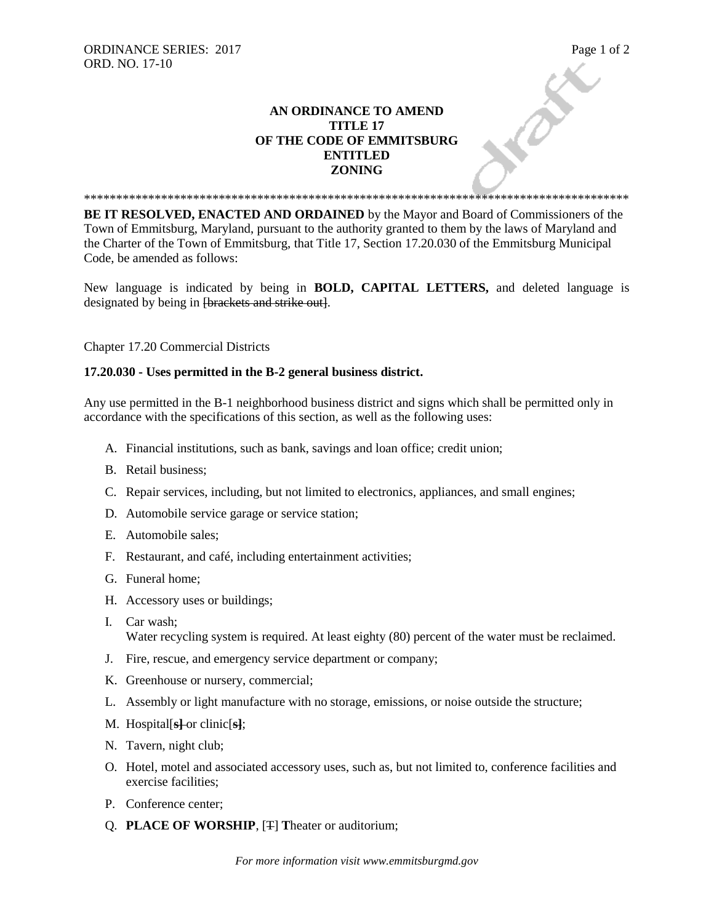## **AN ORDINANCE TO AMEND TITLE 17 OF THE CODE OF EMMITSBURG ENTITLED ZONING**

**BE IT RESOLVED, ENACTED AND ORDAINED** by the Mayor and Board of Commissioners of the Town of Emmitsburg, Maryland, pursuant to the authority granted to them by the laws of Maryland and the Charter of the Town of Emmitsburg, that Title 17, Section 17.20.030 of the Emmitsburg Municipal Code, be amended as follows:

\*\*\*\*\*\*\*\*\*\*\*\*\*\*\*\*\*\*\*\*\*\*\*\*\*\*\*\*\*\*\*\*\*\*\*\*\*\*\*\*\*\*\*\*\*\*\*\*\*\*\*\*\*\*\*\*\*\*\*\*\*\*\*\*\*\*\*\*\*\*\*\*\*\*\*\*\*\*\*\*\*\*\*\*\*

New language is indicated by being in **BOLD, CAPITAL LETTERS,** and deleted language is designated by being in <del>[brackets and strike out]</del>.

Chapter 17.20 Commercial Districts

## **17.20.030 - Uses permitted in the B-2 general business district.**

Any use permitted in the B-1 neighborhood business district and signs which shall be permitted only in accordance with the specifications of this section, as well as the following uses:

- A. Financial institutions, such as bank, savings and loan office; credit union;
- B. Retail business;
- C. Repair services, including, but not limited to electronics, appliances, and small engines;
- D. Automobile service garage or service station;
- E. Automobile sales;
- F. Restaurant, and café, including entertainment activities;
- G. Funeral home;
- H. Accessory uses or buildings;
- I. Car wash; Water recycling system is required. At least eighty (80) percent of the water must be reclaimed.
- J. Fire, rescue, and emergency service department or company;
- K. Greenhouse or nursery, commercial;
- L. Assembly or light manufacture with no storage, emissions, or noise outside the structure;
- M. Hospital[**s]** or clinic[**s]**;
- N. Tavern, night club;
- O. Hotel, motel and associated accessory uses, such as, but not limited to, conference facilities and exercise facilities;
- P. Conference center;
- Q. **PLACE OF WORSHIP**, [T] **T**heater or auditorium;